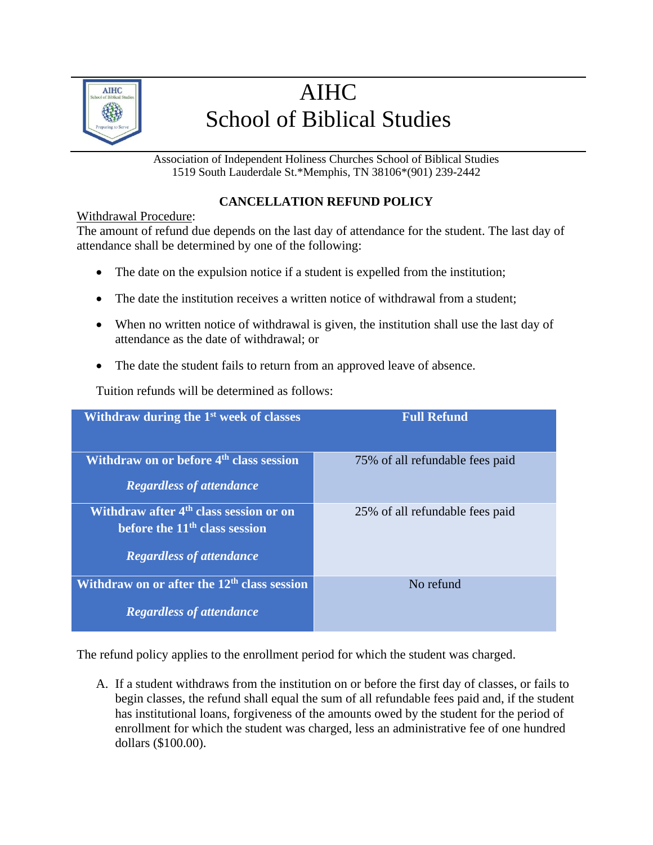

## AIHC School of Biblical Studies

Association of Independent Holiness Churches School of Biblical Studies 1519 South Lauderdale St.\*Memphis, TN 38106\*(901) 239-2442

## **CANCELLATION REFUND POLICY**

## Withdrawal Procedure:

The amount of refund due depends on the last day of attendance for the student. The last day of attendance shall be determined by one of the following:

- The date on the expulsion notice if a student is expelled from the institution;
- The date the institution receives a written notice of withdrawal from a student:
- When no written notice of withdrawal is given, the institution shall use the last day of attendance as the date of withdrawal; or
- The date the student fails to return from an approved leave of absence.

Tuition refunds will be determined as follows:

| Withdraw during the $1st$ week of classes                                                                                | <b>Full Refund</b>              |
|--------------------------------------------------------------------------------------------------------------------------|---------------------------------|
| Withdraw on or before 4 <sup>th</sup> class session<br><b>Regardless of attendance</b>                                   | 75% of all refundable fees paid |
| Withdraw after 4 <sup>th</sup> class session or on<br>before the $11th$ class session<br><b>Regardless of attendance</b> | 25% of all refundable fees paid |
| Withdraw on or after the 12 <sup>th</sup> class session<br><b>Regardless of attendance</b>                               | No refund                       |

The refund policy applies to the enrollment period for which the student was charged.

A. If a student withdraws from the institution on or before the first day of classes, or fails to begin classes, the refund shall equal the sum of all refundable fees paid and, if the student has institutional loans, forgiveness of the amounts owed by the student for the period of enrollment for which the student was charged, less an administrative fee of one hundred dollars (\$100.00).